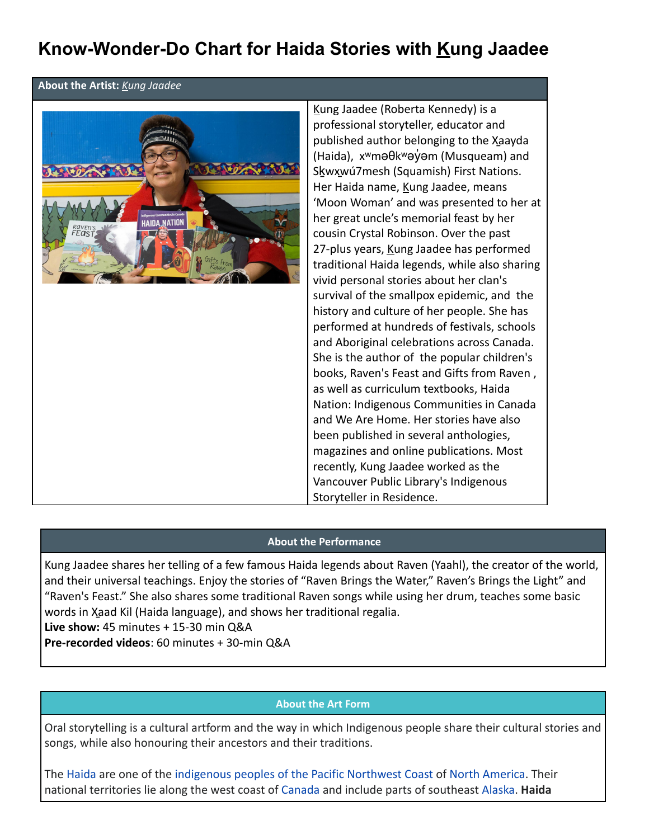# **Know-Wonder-Do Chart for Haida Stories with Kung Jaadee**

**About the Artist:** *Kung Jaadee*



Kung Jaadee (Roberta Kennedy) is a professional storyteller, educator and published author belonging to the X̱aayda (Haida), x<sup>w</sup>məθk<sup>w</sup>əy̓ əm (Musqueam) and Skwxwú7mesh (Squamish) First Nations. Her Haida name, Kung Jaadee, means 'Moon Woman' and was presented to her at her great uncle's memorial feast by her cousin Crystal Robinson. Over the past 27-plus years, Kung Jaadee has performed traditional Haida legends, while also sharing vivid personal stories about her clan's survival of the smallpox epidemic, and the history and culture of her people. She has performed at hundreds of festivals, schools and Aboriginal celebrations across Canada. She is the author of the popular children's books, [Raven's Feast](https://medicinewheel.education/ravens-feast/) and [Gifts from Raven](https://medicinewheel.education/product/gifts-from-raven/) , as well as curriculum textbooks, Haida Nation: Indigenous Communities in Canada and [We Are Home.](https://www.amazon.ca/Haida-Nation-Kung-Jaadee/dp/1773083546) Her stories have also been published in several anthologies, magazines and online publications. Most recently, Kung Jaadee worked as the Vancouver Public Library's Indigenous Storyteller in Residence.

# **About the Performance**

Kung Jaadee shares her telling of a few famous Haida legends about Raven (Yaahl), the creator of the world, and their universal teachings. Enjoy the stories of "Raven Brings the Water," Raven's Brings the Light" and "Raven's Feast." She also shares some traditional Raven songs while using her drum, teaches some basic words in X̱aad Kil (Haida language), and shows her traditional regalia.

**Live show:** 45 minutes + 15-30 min Q&A

**Pre-recorded videos**: 60 minutes + 30-min Q&A

# **About the Art Form**

Oral storytelling is a cultural artform and the way in which Indigenous people share their cultural stories and songs, while also honouring their ancestors and their traditions.

The [Haida](https://en.wikipedia.org/wiki/Haida_people) are one of the [indigenous peoples of the](https://en.wikipedia.org/wiki/Indigenous_peoples_of_the_Pacific_Northwest_Coast) Pacific Northwest Coast of [North America.](https://en.wikipedia.org/wiki/North_America) Their national territories lie along the west coast of [Canada](https://en.wikipedia.org/wiki/Canada) and include parts of southeast [Alaska.](https://en.wikipedia.org/wiki/Alaska) **Haida**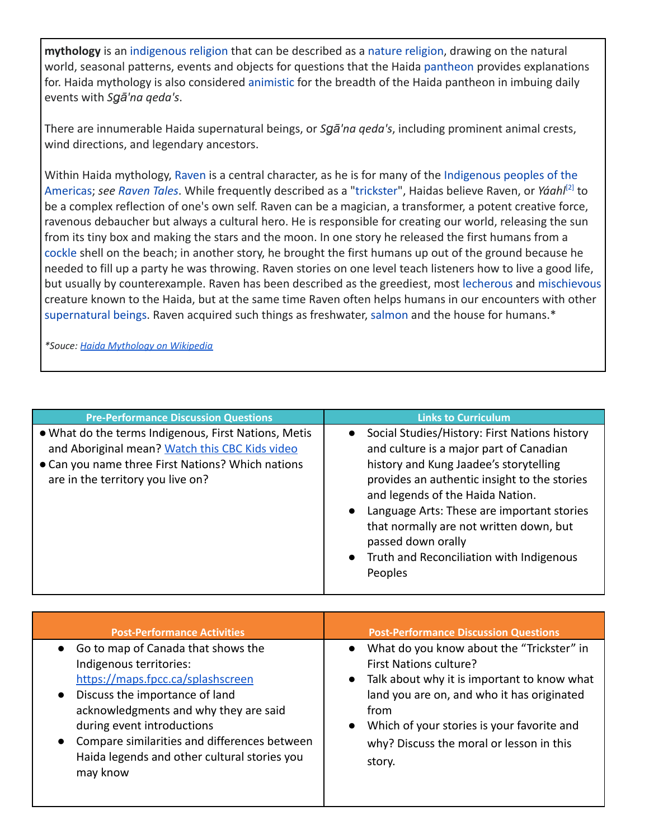**mythology** is an [indigenous religion](https://en.wikipedia.org/wiki/Indigenous_religion) that can be described as a [nature religion,](https://en.wikipedia.org/wiki/Nature_religion) drawing on the natural world, seasonal patterns, events and objects for questions that the Haida [pantheon](https://en.wikipedia.org/wiki/Pantheon_(religion)) provides explanations for. Haida mythology is also considered [animistic](https://en.wikipedia.org/wiki/Animism) for the breadth of the Haida pantheon in imbuing daily events with *Sǥā'na qeda's*.

There are innumerable Haida supernatural beings, or *Sǥā'na qeda's*, including prominent animal crests, wind directions, and legendary ancestors.

Within Haida mythology, [Raven](https://en.wikipedia.org/wiki/Raven_(mythology)) is a central character, as he is for many of the [Indigenous peoples of the](https://en.wikipedia.org/wiki/Indigenous_peoples_of_the_Americas) [Americas;](https://en.wikipedia.org/wiki/Indigenous_peoples_of_the_Americas) *see [Raven Tales](https://en.wikipedia.org/wiki/Raven_Tales)*. While frequently described as a ["trickster](https://en.wikipedia.org/wiki/Trickster)", Haidas believe Raven, or *Yáahl*<sup>[\[2\]](https://en.wikipedia.org/wiki/Haida_mythology#cite_note-2)</sup> to be a complex reflection of one's own self. Raven can be a magician, a transformer, a potent creative force, ravenous debaucher but always a cultural hero. He is responsible for creating our world, releasing the sun from its tiny box and making the stars and the moon. In one story he released the first humans from a [cockle](https://en.wikipedia.org/wiki/Cockle_(bivalve)) shell on the beach; in another story, he brought the first humans up out of the ground because he needed to fill up a party he was throwing. Raven stories on one level teach listeners how to live a good life, but usually by counterexample. Raven has been described as the greediest, most [lecherous](https://en.wikipedia.org/wiki/Lust) and [mischievous](https://en.wikipedia.org/wiki/Mischief) creature known to the Haida, but at the same time Raven often helps humans in our encounters with other [supernatural beings.](https://en.wikipedia.org/wiki/Supernatural_being) Raven acquired such things as freshwater, [salmon](https://en.wikipedia.org/wiki/Salmon) and the house for humans.\*

*\*Souce: Haida [Mythology](https://en.wikipedia.org/wiki/Haida_mythology) on Wikipedia*

| <b>Pre-Performance Discussion Questions</b>                                                                                                                                                      | <b>Links to Curriculum</b>                                                                                                                                                                                                                                                                                                                                                                     |
|--------------------------------------------------------------------------------------------------------------------------------------------------------------------------------------------------|------------------------------------------------------------------------------------------------------------------------------------------------------------------------------------------------------------------------------------------------------------------------------------------------------------------------------------------------------------------------------------------------|
| . What do the terms Indigenous, First Nations, Metis<br>and Aboriginal mean? Watch this CBC Kids video<br>• Can you name three First Nations? Which nations<br>are in the territory you live on? | • Social Studies/History: First Nations history<br>and culture is a major part of Canadian<br>history and Kung Jaadee's storytelling<br>provides an authentic insight to the stories<br>and legends of the Haida Nation.<br>Language Arts: These are important stories<br>that normally are not written down, but<br>passed down orally<br>Truth and Reconciliation with Indigenous<br>Peoples |

| <b>Post-Performance Activities</b>           | <b>Post-Performance Discussion Questions</b>  |
|----------------------------------------------|-----------------------------------------------|
| Go to map of Canada that shows the           | • What do you know about the "Trickster" in   |
| Indigenous territories:                      | <b>First Nations culture?</b>                 |
| https://maps.fpcc.ca/splashscreen            | • Talk about why it is important to know what |
| Discuss the importance of land               | land you are on, and who it has originated    |
| acknowledgments and why they are said        | from                                          |
| during event introductions                   | Which of your stories is your favorite and    |
| Compare similarities and differences between | $\bullet$                                     |
| Haida legends and other cultural stories you | why? Discuss the moral or lesson in this      |
| may know                                     | story.                                        |